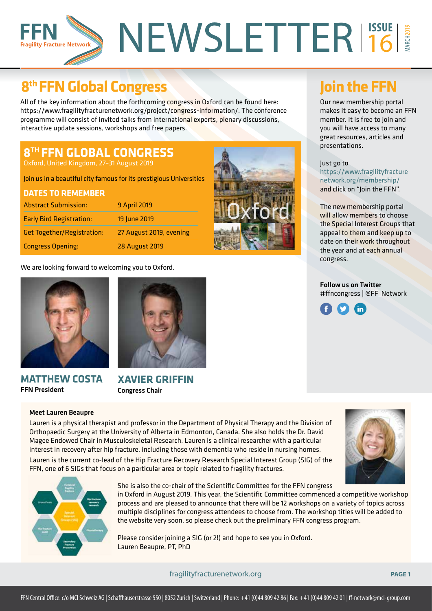# NEWSLETTER<sup>15SUE</sup> MARCH2019 16 **Fragility Fracture Network**

# **8th FFN Global Congress Join the FFN**

All of the key information about the forthcoming congress in Oxford can be found here: https://www.fragilityfracturenetwork.org/project/congress-information/. The conference programme will consist of invited talks from international experts, plenary discussions, interactive update sessions, workshops and free papers.

# **8TH FFN GLOBAL CONGRESS**

Oxford, United Kingdom, 27–31 August 2019

Join us in a beautiful city famous for its prestigious Universities

# **DATES TO REMEMBER** Abstract Submission: 9 April 2019 Early Bird Registration: 19 June 2019

Get Together/Registration: 27 August 2019, evening Congress Opening: 28 August 2019

We are looking forward to welcoming you to Oxford.



### **MATTHEW COSTA** FFN President

### Meet Lauren Beaupre



**XAVIER GRIFFIN** Congress Chair

Our new membership portal makes it easy to become an FFN member. It is free to join and you will have access to many great resources, articles and presentations.

### Just go to

https://www.fragilityfracture network.org/membership/ and click on "Join the FFN".

The new membership portal will allow members to choose the Special Interest Groups that appeal to them and keep up to date on their work throughout the year and at each annual congress.

Follow us on Twitter #ffncongress | @FF\_Network



Lauren is a physical therapist and professor in the Department of Physical Therapy and the Division of Orthopaedic Surgery at the University of Alberta in Edmonton, Canada. She also holds the Dr. David Magee Endowed Chair in Musculoskeletal Research. Lauren is a clinical researcher with a particular interest in recovery after hip fracture, including those with dementia who reside in nursing homes.

Lauren is the current co-lead of the Hip Fracture Recovery Research Special Interest Group (SIG) of the FFN, one of 6 SIGs that focus on a particular area or topic related to fragility fractures.



She is also the co-chair of the Scientific Committee for the FFN congress in Oxford in August 2019. This year, the Scientific Committee commenced a competitive workshop process and are pleased to announce that there will be 12 workshops on a variety of topics across

multiple disciplines for congress attendees to choose from. The workshop titles will be added to the website very soon, so please check out the preliminary FFN congress program.

**Oxford** 

Please consider joining a SIG (or 2!) and hope to see you in Oxford. Lauren Beaupre, PT, PhD